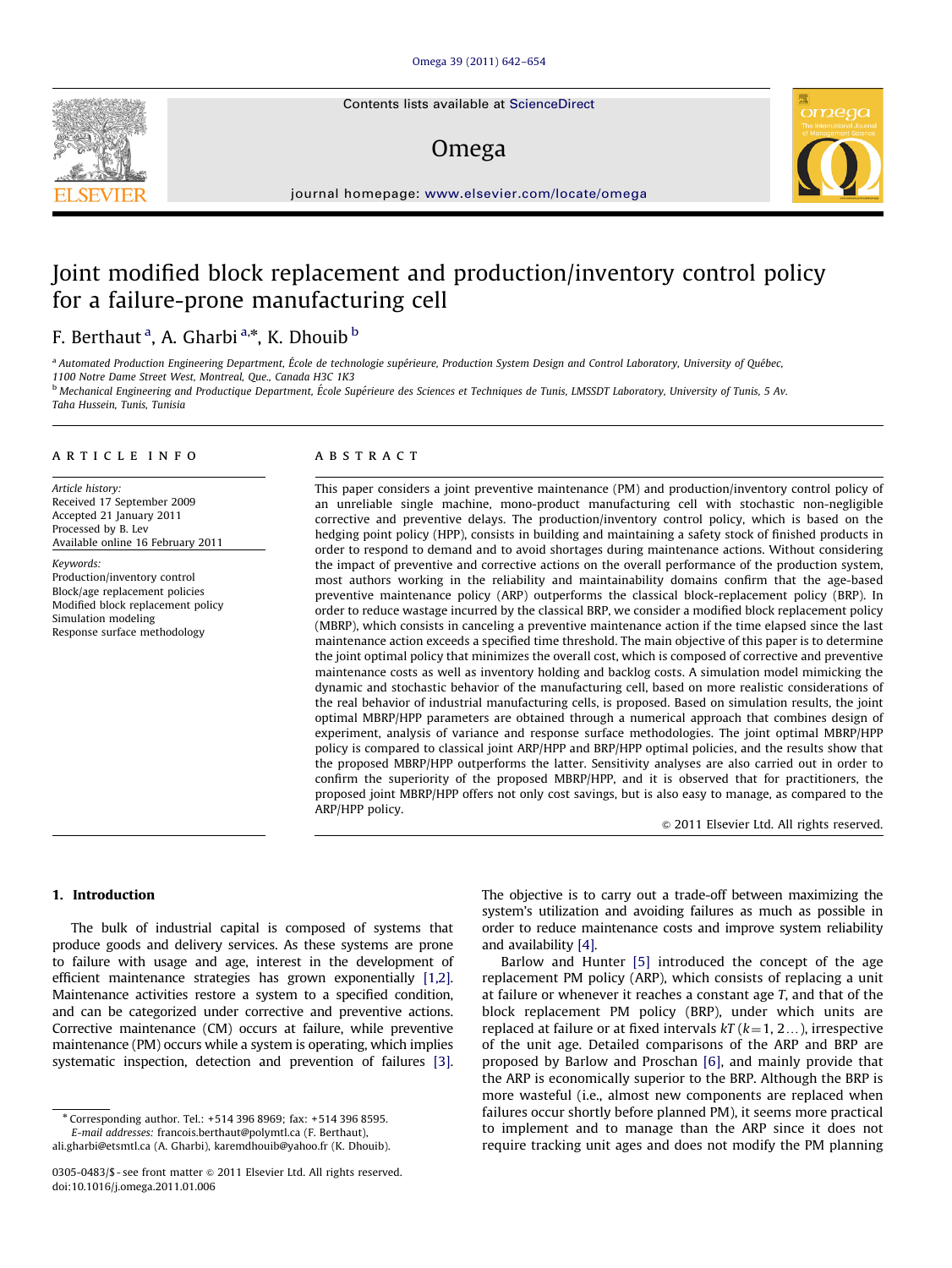Contents lists available at ScienceDirect

## Omega



journal homepage: [www.elsevier.com/locate/omega](www.elsevier.com/ome)

# Joint modified block replacement and production/inventory control policy for a failure-prone manufacturing cell

### F. Berthaut <sup>a</sup>, A. Gharbi <sup>a,</sup>\*, K. Dhouib <sup>b</sup>

a Automated Production Engineering Department, École de technologie supérieure, Production System Design and Control Laboratory, University of Ouébec, 1100 Notre Dame Street West, Montreal, Que., Canada H3C 1K3

<sup>b</sup> Mechanical Engineering and Productique Department, École Supérieure des Sciences et Techniques de Tunis, LMSSDT Laboratory, University of Tunis, 5 Av. Taha Hussein, Tunis, Tunisia

#### article info

Article history: Received 17 September 2009 Accepted 21 January 2011 Processed by B. Lev Available online 16 February 2011

Keywords: Production/inventory control Block/age replacement policies Modified block replacement policy Simulation modeling Response surface methodology

#### **ABSTRACT**

This paper considers a joint preventive maintenance (PM) and production/inventory control policy of an unreliable single machine, mono-product manufacturing cell with stochastic non-negligible corrective and preventive delays. The production/inventory control policy, which is based on the hedging point policy (HPP), consists in building and maintaining a safety stock of finished products in order to respond to demand and to avoid shortages during maintenance actions. Without considering the impact of preventive and corrective actions on the overall performance of the production system, most authors working in the reliability and maintainability domains confirm that the age-based preventive maintenance policy (ARP) outperforms the classical block-replacement policy (BRP). In order to reduce wastage incurred by the classical BRP, we consider a modified block replacement policy (MBRP), which consists in canceling a preventive maintenance action if the time elapsed since the last maintenance action exceeds a specified time threshold. The main objective of this paper is to determine the joint optimal policy that minimizes the overall cost, which is composed of corrective and preventive maintenance costs as well as inventory holding and backlog costs. A simulation model mimicking the dynamic and stochastic behavior of the manufacturing cell, based on more realistic considerations of the real behavior of industrial manufacturing cells, is proposed. Based on simulation results, the joint optimal MBRP/HPP parameters are obtained through a numerical approach that combines design of experiment, analysis of variance and response surface methodologies. The joint optimal MBRP/HPP policy is compared to classical joint ARP/HPP and BRP/HPP optimal policies, and the results show that the proposed MBRP/HPP outperforms the latter. Sensitivity analyses are also carried out in order to confirm the superiority of the proposed MBRP/HPP, and it is observed that for practitioners, the proposed joint MBRP/HPP offers not only cost savings, but is also easy to manage, as compared to the ARP/HPP policy.

 $\odot$  2011 Elsevier Ltd. All rights reserved.

#### 1. Introduction

The bulk of industrial capital is composed of systems that produce goods and delivery services. As these systems are prone to failure with usage and age, interest in the development of efficient maintenance strategies has grown exponentially [\[1,2\].](#page--1-0) Maintenance activities restore a system to a specified condition, and can be categorized under corrective and preventive actions. Corrective maintenance (CM) occurs at failure, while preventive maintenance (PM) occurs while a system is operating, which implies systematic inspection, detection and prevention of failures [\[3\].](#page--1-0)

E-mail addresses: [francois.berthaut@polymtl.ca \(F. Berthaut\),](mailto:francois.berthaut@polymtl.ca) [ali.gharbi@etsmtl.ca \(A. Gharbi\)](mailto:ali.gharbi@etsmtl.ca), [karemdhouib@yahoo.fr \(K. Dhouib\).](mailto:karemdhouib@yahoo.fr) The objective is to carry out a trade-off between maximizing the system's utilization and avoiding failures as much as possible in order to reduce maintenance costs and improve system reliability and availability [\[4\].](#page--1-0)

Barlow and Hunter [\[5\]](#page--1-0) introduced the concept of the age replacement PM policy (ARP), which consists of replacing a unit at failure or whenever it reaches a constant age  $T$ , and that of the block replacement PM policy (BRP), under which units are replaced at failure or at fixed intervals  $kT (k=1, 2...)$ , irrespective of the unit age. Detailed comparisons of the ARP and BRP are proposed by Barlow and Proschan [\[6\]](#page--1-0), and mainly provide that the ARP is economically superior to the BRP. Although the BRP is more wasteful (i.e., almost new components are replaced when failures occur shortly before planned PM), it seems more practical to implement and to manage than the ARP since it does not require tracking unit ages and does not modify the PM planning

<sup>\*</sup> Corresponding author. Tel.: +514 396 8969; fax: +514 396 8595.

<sup>0305-0483/\$ -</sup> see front matter  $\odot$  2011 Elsevier Ltd. All rights reserved. doi:[10.1016/j.omega.2011.01.006](dx.doi.org/10.1016/j.omega.2011.01.006)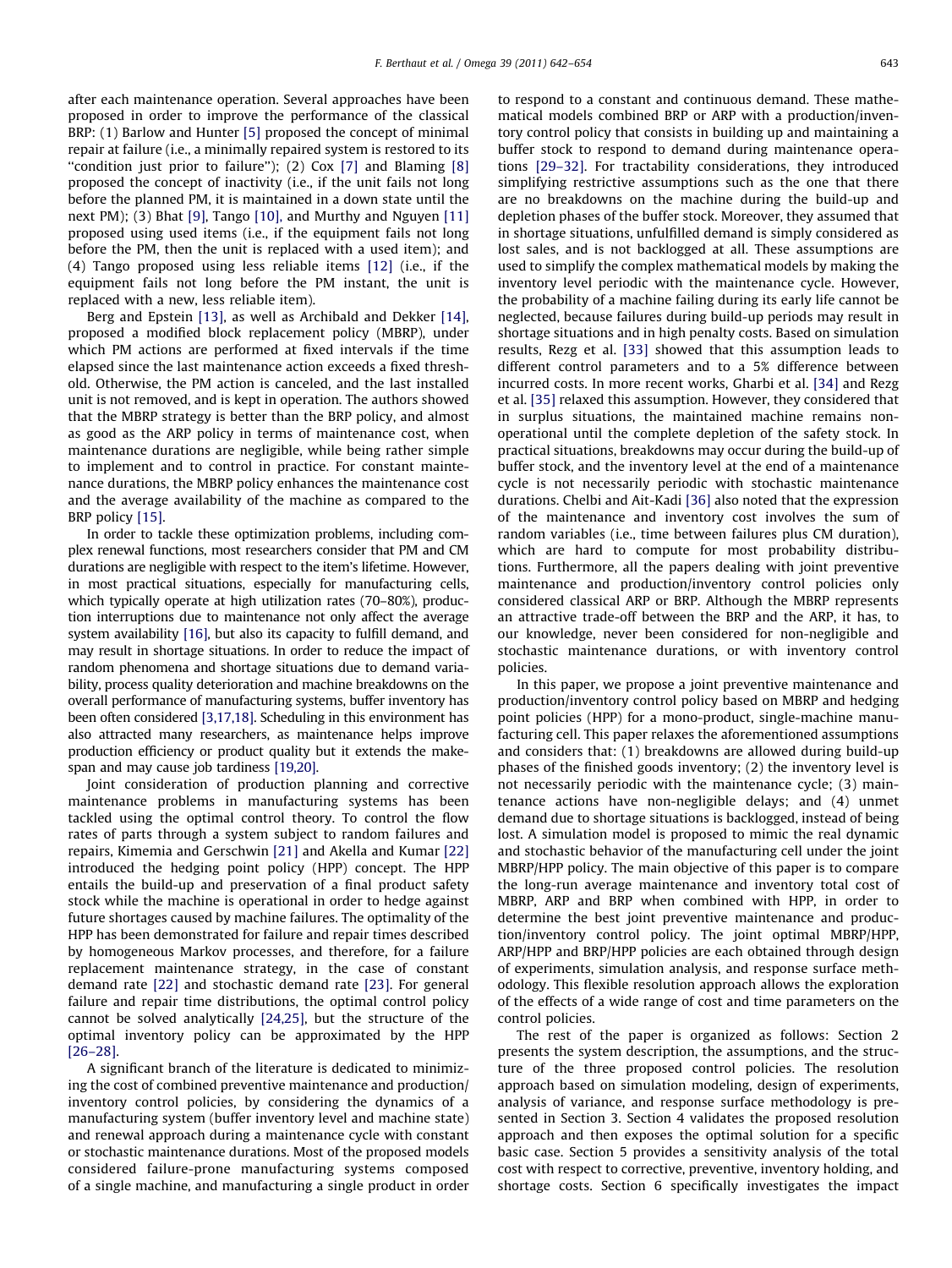after each maintenance operation. Several approaches have been proposed in order to improve the performance of the classical BRP: (1) Barlow and Hunter [\[5\]](#page--1-0) proposed the concept of minimal repair at failure (i.e., a minimally repaired system is restored to its "condition just prior to failure"); (2) Cox [\[7\]](#page--1-0) and Blaming [\[8\]](#page--1-0) proposed the concept of inactivity (i.e., if the unit fails not long before the planned PM, it is maintained in a down state until the next PM); (3) Bhat [\[9\],](#page--1-0) Tango [\[10\],](#page--1-0) and Murthy and Nguyen [\[11\]](#page--1-0) proposed using used items (i.e., if the equipment fails not long before the PM, then the unit is replaced with a used item); and (4) Tango proposed using less reliable items [\[12\]](#page--1-0) (i.e., if the equipment fails not long before the PM instant, the unit is replaced with a new, less reliable item).

Berg and Epstein [\[13\],](#page--1-0) as well as Archibald and Dekker [\[14\],](#page--1-0) proposed a modified block replacement policy (MBRP), under which PM actions are performed at fixed intervals if the time elapsed since the last maintenance action exceeds a fixed threshold. Otherwise, the PM action is canceled, and the last installed unit is not removed, and is kept in operation. The authors showed that the MBRP strategy is better than the BRP policy, and almost as good as the ARP policy in terms of maintenance cost, when maintenance durations are negligible, while being rather simple to implement and to control in practice. For constant maintenance durations, the MBRP policy enhances the maintenance cost and the average availability of the machine as compared to the BRP policy [\[15\].](#page--1-0)

In order to tackle these optimization problems, including complex renewal functions, most researchers consider that PM and CM durations are negligible with respect to the item's lifetime. However, in most practical situations, especially for manufacturing cells, which typically operate at high utilization rates (70–80%), production interruptions due to maintenance not only affect the average system availability [\[16\],](#page--1-0) but also its capacity to fulfill demand, and may result in shortage situations. In order to reduce the impact of random phenomena and shortage situations due to demand variability, process quality deterioration and machine breakdowns on the overall performance of manufacturing systems, buffer inventory has been often considered [\[3,17,18\].](#page--1-0) Scheduling in this environment has also attracted many researchers, as maintenance helps improve production efficiency or product quality but it extends the makespan and may cause job tardiness [\[19,20\].](#page--1-0)

Joint consideration of production planning and corrective maintenance problems in manufacturing systems has been tackled using the optimal control theory. To control the flow rates of parts through a system subject to random failures and repairs, Kimemia and Gerschwin [\[21\]](#page--1-0) and Akella and Kumar [\[22\]](#page--1-0) introduced the hedging point policy (HPP) concept. The HPP entails the build-up and preservation of a final product safety stock while the machine is operational in order to hedge against future shortages caused by machine failures. The optimality of the HPP has been demonstrated for failure and repair times described by homogeneous Markov processes, and therefore, for a failure replacement maintenance strategy, in the case of constant demand rate [\[22\]](#page--1-0) and stochastic demand rate [\[23\].](#page--1-0) For general failure and repair time distributions, the optimal control policy cannot be solved analytically [\[24,25\]](#page--1-0), but the structure of the optimal inventory policy can be approximated by the HPP [\[26–28\].](#page--1-0)

A significant branch of the literature is dedicated to minimizing the cost of combined preventive maintenance and production/ inventory control policies, by considering the dynamics of a manufacturing system (buffer inventory level and machine state) and renewal approach during a maintenance cycle with constant or stochastic maintenance durations. Most of the proposed models considered failure-prone manufacturing systems composed of a single machine, and manufacturing a single product in order to respond to a constant and continuous demand. These mathematical models combined BRP or ARP with a production/inventory control policy that consists in building up and maintaining a buffer stock to respond to demand during maintenance operations [\[29–32\]](#page--1-0). For tractability considerations, they introduced simplifying restrictive assumptions such as the one that there are no breakdowns on the machine during the build-up and depletion phases of the buffer stock. Moreover, they assumed that in shortage situations, unfulfilled demand is simply considered as lost sales, and is not backlogged at all. These assumptions are used to simplify the complex mathematical models by making the inventory level periodic with the maintenance cycle. However, the probability of a machine failing during its early life cannot be neglected, because failures during build-up periods may result in shortage situations and in high penalty costs. Based on simulation results, Rezg et al. [\[33\]](#page--1-0) showed that this assumption leads to different control parameters and to a 5% difference between incurred costs. In more recent works, Gharbi et al. [\[34\]](#page--1-0) and Rezg et al. [\[35\]](#page--1-0) relaxed this assumption. However, they considered that in surplus situations, the maintained machine remains nonoperational until the complete depletion of the safety stock. In practical situations, breakdowns may occur during the build-up of buffer stock, and the inventory level at the end of a maintenance cycle is not necessarily periodic with stochastic maintenance durations. Chelbi and Ait-Kadi [\[36\]](#page--1-0) also noted that the expression of the maintenance and inventory cost involves the sum of random variables (i.e., time between failures plus CM duration), which are hard to compute for most probability distributions. Furthermore, all the papers dealing with joint preventive maintenance and production/inventory control policies only considered classical ARP or BRP. Although the MBRP represents an attractive trade-off between the BRP and the ARP, it has, to our knowledge, never been considered for non-negligible and stochastic maintenance durations, or with inventory control policies.

In this paper, we propose a joint preventive maintenance and production/inventory control policy based on MBRP and hedging point policies (HPP) for a mono-product, single-machine manufacturing cell. This paper relaxes the aforementioned assumptions and considers that: (1) breakdowns are allowed during build-up phases of the finished goods inventory; (2) the inventory level is not necessarily periodic with the maintenance cycle; (3) maintenance actions have non-negligible delays; and (4) unmet demand due to shortage situations is backlogged, instead of being lost. A simulation model is proposed to mimic the real dynamic and stochastic behavior of the manufacturing cell under the joint MBRP/HPP policy. The main objective of this paper is to compare the long-run average maintenance and inventory total cost of MBRP, ARP and BRP when combined with HPP, in order to determine the best joint preventive maintenance and production/inventory control policy. The joint optimal MBRP/HPP, ARP/HPP and BRP/HPP policies are each obtained through design of experiments, simulation analysis, and response surface methodology. This flexible resolution approach allows the exploration of the effects of a wide range of cost and time parameters on the control policies.

The rest of the paper is organized as follows: Section 2 presents the system description, the assumptions, and the structure of the three proposed control policies. The resolution approach based on simulation modeling, design of experiments, analysis of variance, and response surface methodology is presented in Section 3. Section 4 validates the proposed resolution approach and then exposes the optimal solution for a specific basic case. Section 5 provides a sensitivity analysis of the total cost with respect to corrective, preventive, inventory holding, and shortage costs. Section 6 specifically investigates the impact